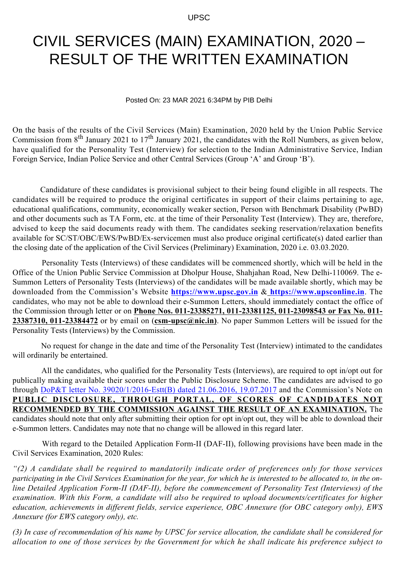UPSC

## CIVIL SERVICES (MAIN) EXAMINATION, 2020 – RESULT OF THE WRITTEN EXAMINATION

Posted On: 23 MAR 2021 6:34PM by PIB Delhi

On the basis of the results of the Civil Services (Main) Examination, 2020 held by the Union Public Service Commission from  $8^{th}$  January 2021 to  $17^{th}$  January 2021, the candidates with the Roll Numbers, as given below, have qualified for the Personality Test (Interview) for selection to the Indian Administrative Service, Indian Foreign Service, Indian Police Service and other Central Services (Group 'A' and Group 'B').

 Candidature of these candidates is provisional subject to their being found eligible in all respects. The candidates will be required to produce the original certificates in support of their claims pertaining to age, educational qualifications, community, economically weaker section, Person with Benchmark Disability (PwBD) and other documents such as TA Form, etc. at the time of their Personality Test (Interview). They are, therefore, advised to keep the said documents ready with them. The candidates seeking reservation/relaxation benefits available for SC/ST/OBC/EWS/PwBD/Ex-servicemen must also produce original certificate(s) dated earlier than the closing date of the application of the Civil Services (Preliminary) Examination, 2020 i.e. 03.03.2020.

 Personality Tests (Interviews) of these candidates will be commenced shortly, which will be held in the Office of the Union Public Service Commission at Dholpur House, Shahjahan Road, New Delhi-110069. The e-Summon Letters of Personality Tests (Interviews) of the candidates will be made available shortly, which may be downloaded from the Commission's Website **https://www.upsc.gov.in** & **https://www.upsconline.in**. The candidates, who may not be able to download their e-Summon Letters, should immediately contact the office of the Commission through letter or on **Phone Nos. 011-23385271, 011-23381125, 011-23098543 or Fax No. 011- 23387310, 011-23384472** or by email on (**csm-upsc@nic.in)**. No paper Summon Letters will be issued for the Personality Tests (Interviews) by the Commission.

 No request for change in the date and time of the Personality Test (Interview) intimated to the candidates will ordinarily be entertained.

 All the candidates, who qualified for the Personality Tests (Interviews), are required to opt in/opt out for publically making available their scores under the Public Disclosure Scheme. The candidates are advised to go through [DoP&T letter No. 39020/1/2016-Estt\(B\) dated 21.06.2016, 19.07.2017](http://documents.doptcirculars.nic.in/D2/D02est/39020_01_2016-Estt.B-19072017.pdf) and the Commission's Note on **PUBLIC DISCLOSURE, THROUGH PORTAL, OF SCORES OF CANDIDATES NOT RECOMMENDED BY THE COMMISSION AGAINST THE RESULT OF AN EXAMINATION.** The candidates should note that only after submitting their option for opt in/opt out, they will be able to download their e-Summon letters. Candidates may note that no change will be allowed in this regard later.

 With regard to the Detailed Application Form-II (DAF-II), following provisions have been made in the Civil Services Examination, 2020 Rules:

*"(2) A candidate shall be required to mandatorily indicate order of preferences only for those services participating in the Civil Services Examination for the year, for which he is interested to be allocated to, in the online Detailed Application Form-II (DAF-II), before the commencement of Personality Test (Interviews) of the examination. With this Form, a candidate will also be required to upload documents/certificates for higher education, achievements in different fields, service experience, OBC Annexure (for OBC category only), EWS Annexure (for EWS category only), etc.*

*(3) In case of recommendation of his name by UPSC for service allocation, the candidate shall be considered for allocation to one of those services by the Government for which he shall indicate his preference subject to*